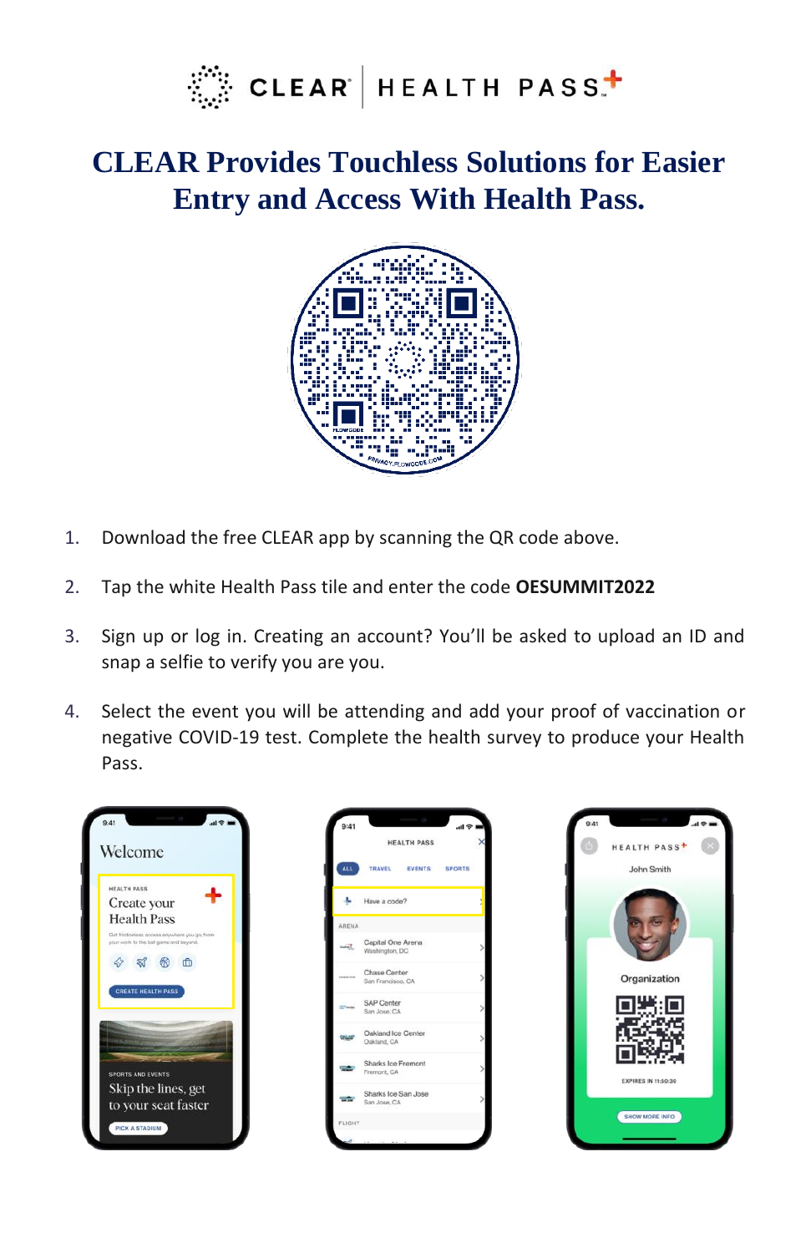

## **CLEAR Provides Touchless Solutions for Easier Entry and Access With Health Pass.**



- 1. Download the free CLEAR app by scanning the QR code above.
- 2. Tap the white Health Pass tile and enter the code **OESUMMIT2022**
- 3. Sign up or log in. Creating an account? You'll be asked to upload an ID and snap a selfie to verify you are you.
- 4. Select the event you will be attending and add your proof of vaccination or negative COVID-19 test. Complete the health survey to produce your Health Pass.





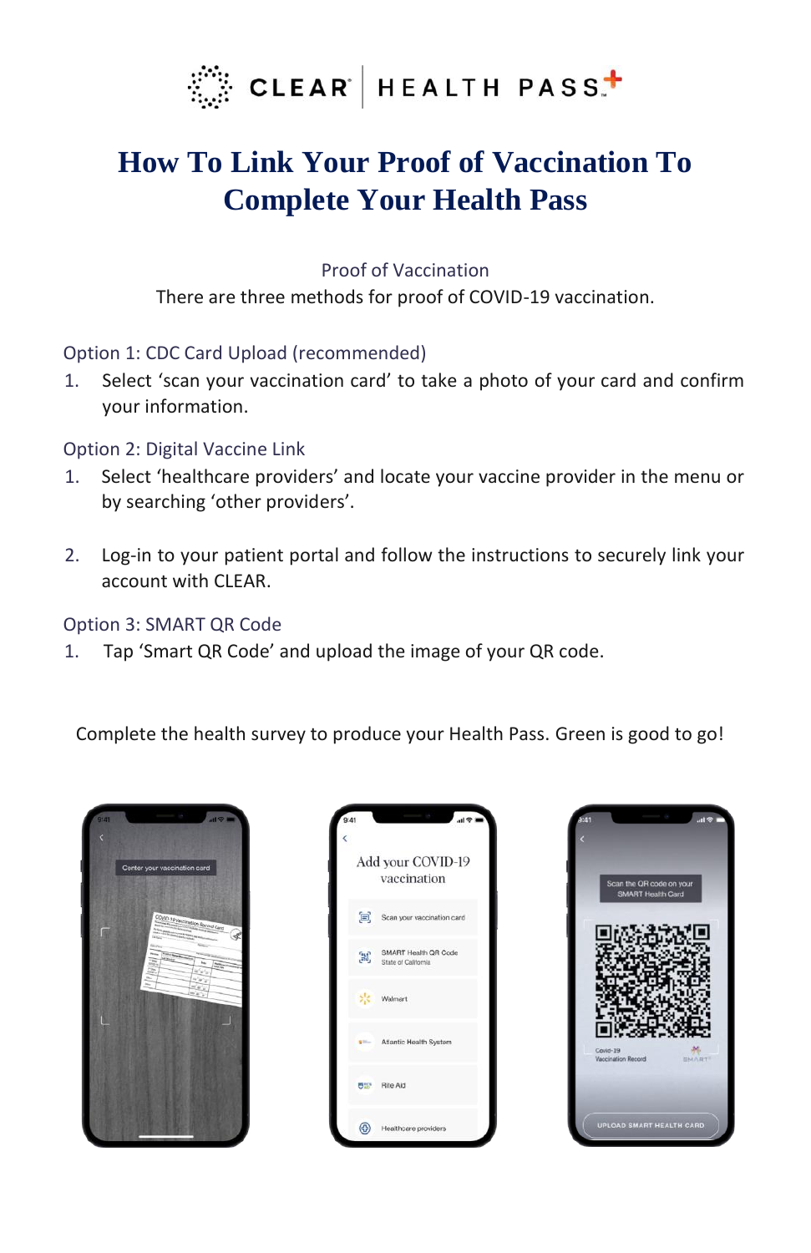

# **How To Link Your Proof of Vaccination To Complete Your Health Pass**

Proof of Vaccination

There are three methods for proof of COVID-19 vaccination.

## Option 1: CDC Card Upload (recommended)

1. Select 'scan your vaccination card' to take a photo of your card and confirm your information.

## Option 2: Digital Vaccine Link

- 1. Select 'healthcare providers' and locate your vaccine provider in the menu or by searching 'other providers'.
- 2. Log-in to your patient portal and follow the instructions to securely link your account with CLEAR.

## Option 3: SMART QR Code

1. Tap 'Smart QR Code' and upload the image of your QR code.

Complete the health survey to produce your Health Pass. Green is good to go!